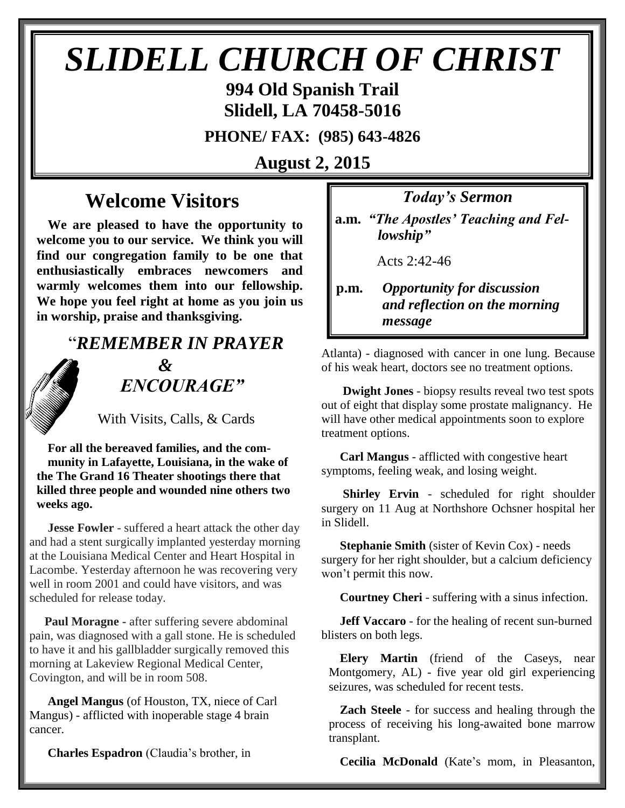## *SLIDELL CHURCH OF CHRIST*

**994 Old Spanish Trail Slidell, LA 70458-5016**

**PHONE/ FAX: (985) 643-4826**

**August 2, 2015**

## **Welcome Visitors**

**We are pleased to have the opportunity to welcome you to our service. We think you will find our congregation family to be one that enthusiastically embraces newcomers and warmly welcomes them into our fellowship. We hope you feel right at home as you join us in worship, praise and thanksgiving.**

## "*REMEMBER IN PRAYER &* " *ENCOURAGE"*

With Visits, Calls, & Cards

**For all the bereaved families, and the community in Lafayette, Louisiana, in the wake of the The Grand 16 Theater shootings there that killed three people and wounded nine others two weeks ago.** 

 **Jesse Fowler** - suffered a heart attack the other day and had a stent surgically implanted yesterday morning at the Louisiana Medical Center and Heart Hospital in Lacombe. Yesterday afternoon he was recovering very well in room 2001 and could have visitors, and was scheduled for release today.

 **Paul Moragne -** after suffering severe abdominal pain, was diagnosed with a gall stone. He is scheduled to have it and his gallbladder surgically removed this morning at Lakeview Regional Medical Center, Covington, and will be in room 508.

 **Angel Mangus** (of Houston, TX, niece of Carl Mangus) - afflicted with inoperable stage 4 brain cancer.

**Charles Espadron** (Claudia's brother, in

*Today's Sermon*

**a.m.** *"The Apostles' Teaching and Fel*  *lowship"*

Acts 2:42-46

**p.m.** *Opportunity for discussion*  *and reflection on the morning message*

Atlanta) - diagnosed with cancer in one lung. Because of his weak heart, doctors see no treatment options.

 **Dwight Jones** - biopsy results reveal two test spots out of eight that display some prostate malignancy. He will have other medical appointments soon to explore treatment options.

 **Carl Mangus** - afflicted with congestive heart symptoms, feeling weak, and losing weight.

 **Shirley Ervin** - scheduled for right shoulder surgery on 11 Aug at Northshore Ochsner hospital her in Slidell.

 **Stephanie Smith** (sister of Kevin Cox) - needs surgery for her right shoulder, but a calcium deficiency won't permit this now.

**Courtney Cheri** - suffering with a sinus infection.

 **Jeff Vaccaro** - for the healing of recent sun-burned blisters on both legs.

**Elery Martin** (friend of the Caseys, near Montgomery, AL) - five year old girl experiencing seizures, was scheduled for recent tests.

**Zach Steele** - for success and healing through the process of receiving his long-awaited bone marrow transplant.

**Cecilia McDonald** (Kate's mom, in Pleasanton,